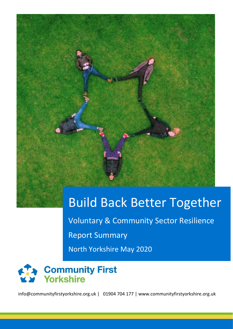

# Build Back Better Together

Voluntary & Community Sector Resilience Report Summary North Yorkshire May 2020



info@communityfirstyorkshire.org.uk | 01904 704 177 | www.communityfirstyorkshire.org.uk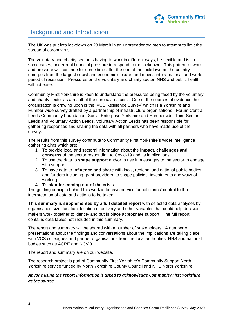

# Background and Introduction

The UK was put into lockdown on 23 March in an unprecedented step to attempt to limit the spread of coronavirus.

The voluntary and charity sector is having to work in different ways, be flexible and is, in some cases, under real financial pressure to respond to the lockdown. This pattern of work and pressure will continue for some time after the end of the lockdown as the country emerges from the largest social and economic closure, and moves into a national and world period of recession. Pressures on the voluntary and charity sector, NHS and public health will not ease.

Community First Yorkshire is keen to understand the pressures being faced by the voluntary and charity sector as a result of the coronavirus crisis. One of the sources of evidence the organisation is drawing upon is the 'VCS Resilience Survey' which is a Yorkshire and Humber-wide survey drafted by a partnership of infrastructure organisations - Forum Central, Leeds Community Foundation, Social Enterprise Yorkshire and Humberside, Third Sector Leeds and Voluntary Action Leeds. Voluntary Action Leeds has been responsible for gathering responses and sharing the data with all partners who have made use of the survey.

The results from this survey contribute to Community First Yorkshire's wider intelligence gathering aims which are:

- 1. To provide local and sectoral information about the **impact, challenges and concerns** of the sector responding to Covid-19 and its implications
- 2. To use the data to **shape support** and/or to use in messages to the sector to engage with support
- 3. To have data to **influence and share** with local, regional and national public bodies and funders including grant providers, to shape policies, investments and ways of working.
- 4. To **plan for coming out of the crisis**.

The guiding principle behind this work is to have service 'beneficiaries' central to the interpretation of data and actions to be taken.

**This summary is supplemented by a full detailed report** with selected data analyses by organisation size, location, location of delivery and other variables that could help decisionmakers work together to identify and put in place appropriate support. The full report contains data tables not included in this summary.

The report and summary will be shared with a number of stakeholders. A number of presentations about the findings and conversations about the implications are taking place with VCS colleagues and partner organisations from the local authorities, NHS and national bodies such as ACRE and NCVO.

The report and summary are on our website.

The research project is part of Community First Yorkshire's Community Support North Yorkshire service funded by North Yorkshire County Council and NHS North Yorkshire.

#### *Anyone using the report information is asked to acknowledge Community First Yorkshire as the source.*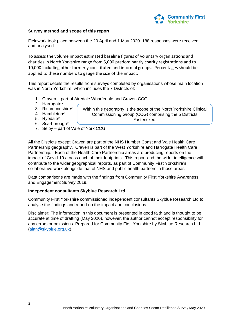

#### **Survey method and scope of this report**

Fieldwork took place between the 20 April and 1 May 2020. 188 responses were received and analysed.

To assess the volume impact estimated baseline figures of voluntary organisations and charities in North Yorkshire range from 5,000 predominantly charity registrations and to 10,000 including other formerly constituted and informal groups. Percentages should be applied to these numbers to gauge the size of the impact.

This report details the results from surveys completed by organisations whose main location was in North Yorkshire, which includes the 7 Districts of:

> Within this geography is the scope of the North Yorkshire Clinical Commissioning Group (CCG) comprising the 5 Districts \*asterisked

- 1. Craven part of Airedale Wharfedale and Craven CCG
- 2. Harrogate\*
- 3. Richmondshire\*
- 4. Hambleton\*
- 5. Ryedale\*
- 6. Scarborough\*
- 7. Selby part of Vale of York CCG

All the Districts except Craven are part of the NHS Humber Coast and Vale Health Care Partnership geography. Craven is part of the West Yorkshire and Harrogate Health Care Partnership. Each of the Health Care Partnership areas are producing reports on the impact of Covid-19 across each of their footprints. This report and the wider intelligence will contribute to the wider geographical reports, as part of Community First Yorkshire's collaborative work alongside that of NHS and public health partners in those areas.

Data comparisons are made with the findings from Community First Yorkshire Awareness and Engagement Survey 2019.

#### **Independent consultants Skyblue Research Ltd**

Community First Yorkshire commissioned independent consultants Skyblue Research Ltd to analyse the findings and report on the impact and conclusions.

Disclaimer: The information in this document is presented in good faith and is thought to be accurate at time of drafting (May 2020), however, the author cannot accept responsibility for any errors or omissions. Prepared for Community First Yorkshire by Skyblue Research Ltd [\(alan@skyblue.org.uk\)](mailto:alan@skyblue.org.uk).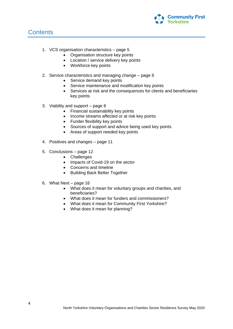

### **Contents**

- 1. VCS organisation characteristics page 5
	- Organisation structure key points
	- Location / service delivery key points
	- Workforce key points
- 2. Service characteristics and managing change page 6
	- Service demand key points
	- Service maintenance and modification key points
	- Services at risk and the consequences for clients and beneficiaries key points
- 3. Viability and support page 8
	- Financial sustainability key points
	- Income streams affected or at risk key points
	- Funder flexibility key points
	- Sources of support and advice being used key points
	- Areas of support needed key points
- 4. Positives and changes page 11
- 5. Conclusions page 12
	- Challenges
	- Impacts of Covid-19 on the sector
	- Concerns and timeline
	- Building Back Better Together
- 6. What Next page 16
	- What does it mean for voluntary groups and charities, and beneficiaries?
	- What does it mean for funders and commissioners?
	- What does it mean for Community First Yorkshire?
	- What does it mean for planning?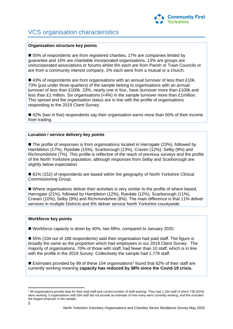

# VCS organisation characteristics

#### **Organisation structure key points**

■ 55% of respondents are from registered charities, 17% are companies limited by guarantee and 15% are charitable incorporated organisations. 13% are groups are unincorporated associations or forums whilst 6% each are from Parish or Town Councils or are from a community interest company. 2% each were from a mutual or a church.

 $\blacksquare$  43% of respondents are from organisations with an annual turnover of less than £10k. 73% (just under three-quarters) of the sample belong to organisations with an annual turnover of less than £100k. 23%, nearly one in four, have (turnover more than £100k and less than £1 million. Six organisations (<4%) in the sample turnover more than £1million. This spread and the organisation status are in line with the profile of organisations responding to the 2019 Client Survey.

■ 42% (two in five) respondents say their organisation earns more than 50% of their income from trading.

#### **Location / service delivery key points**

■ The profile of responses is from organisations located in Harrogate (23%), followed by Hambleton (17%), Ryedale (15%), Scarborough (13%), Craven (12%), Selby (9%) and Richmondshire (7%). This profile is reflective of the reach of previous surveys and the profile of the North Yorkshire population, although responses from Selby and Scarborough are slightly below expectation.

■ 81% (152) of respondents are based within the geography of North Yorkshire Clinical Commissioning Group.

 Where organisations deliver their activities is very similar to the profile of where based, Harrogate (21%), followed by Hambleton (12%), Ryedale (12%), Scarborough (11%), Craven (10%), Selby (9%) and Richmondshire (8%). The main difference is that 11% deliver services in multiple Districts and 6% deliver service North Yorkshire countywide.

#### **Workforce key points**

■ Workforce capacity is down by 40%, two fifths, compared to January 2020.

■ 55% (104 out of 188 respondents) said their organisation had paid staff. The figure is broadly the same as the proportion which had employees in our 2019 Client Survey. The majority of organisations, 70% of those with staff, had fewer than 10 staff, which is in line with the profile in the 2019 Survey. Collectively the sample had 1,778 staff.

Estimates provided by 99 of these 104 organisations<sup>1</sup> found that 62% of their staff are currently working meaning **capacity has reduced by 38% since the Covid-19 crisis.**

**<sup>.</sup>** <sup>1</sup> 99 organisations provide data for their total staff and current number of staff working. They had 1,184 staff of which 738 (62%) were working. 5 organisations with 594 staff did not provide an estimate of how many were currently working, and this included the largest employer in the sample.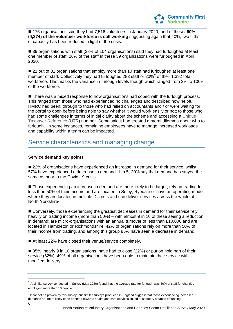

■ 176 organisations said they had 7,516 volunteers in January 2020, and of these, **60% (4,374) of the volunteer workforce is still working** suggesting again that 40%, two fifths, of capacity has been reduced in light of the crisis.

■ 39 organisations with staff (38% of 104 organisations) said they had furloughed at least one member of staff. 26% of the staff in these 39 organisations were furloughed in April 2020.

■ 21 out of 31 organisations that employ more than 10 staff had furloughed at least one member of staff. Collectively they had furloughed 283 staff or 20%<sup>2</sup> of their 1,392 total workforce. This masks the variance in furlough levels though which ranged from 2% to 100% of the workforce.

■ There was a mixed response to how organisations had coped with the furlough process. This ranged from those who had experienced no challenges and described how helpful HMRC had been; through to those who had relied on accountants and / or were waiting for the portal to open before being able to say whether it would work easily or not; to those who had some challenges in terms of initial clarity about the scheme and accessing a Unique Taxpayer Reference (UTR) number. Some said it had created a moral dilemma about who to furlough. In some instances, remaining employees have to manage increased workloads and capability within a team can be impacted.

# Service characteristics and managing change

#### **Service demand key points**

■ 22% of organisations have experienced an increase in demand for their service, whilst 57% have experienced a decrease in demand. 1 in 5, 20% say that demand has stayed the same as prior to the Covid-19 crisis.

■ Those experiencing an increase in demand are more likely to be larger, rely on trading for less than 50% of their income and are located in Selby, Ryedale or have an operating model where they are located in multiple Districts and can deliver services across the whole of North Yorkshire<sup>3</sup>.

■ Conversely, those experiencing the greatest decreases in demand for their service rely heavily on trading income (more than 50%) – with almost 9 in 10 of these seeing a reduction in demand; are micro-organisations with an annual turnover of less than £10,000 and are located in Hambleton or Richmondshire. 42% of organisations rely on more than 50% of their income from trading, and among this group 85% have seen a decrease in demand.

■ At least 22% have closed their venue/service completely.

■ 85%, nearly 9 in 10 organisations, have had to close (22%) or put on hold part of their service (62%). 49% of all organisations have been able to maintain their service with modified delivery.

 $\overline{\phantom{a}}$ 

 $^2$  A similar survey conducted in Surrey (May 2020) found that the average rate for furlough was 30% of staff for charities employing more than 10 people.

<sup>&</sup>lt;sup>3</sup> It cannot be proven by this survey, but similar surveys produced in England suggest that those experiencing increased demands are more likely to be oriented towards health and care services linked to statutory sources of funding.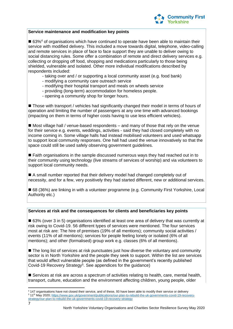

#### **Service maintenance and modification key points**

■ 63%<sup>4</sup> of organisations which have continued to operate have been able to maintain their service with modified delivery. This included a move towards digital, telephone, video-calling and remote services in place of face to face support they are unable to deliver owing to social distancing rules. Some offer a combination of remote and direct delivery services e.g. collecting or dropping off food, shopping and medications particularly to those being shielded, vulnerable and isolated. Other more individual modifications described by respondents included:

- taking over and / or supporting a local community asset (e.g. food bank)
- modifying a community care outreach service
- modifying their hospital transport and meals on wheels service
- providing (long-term) accommodation for homeless people.
- opening a community shop for longer hours.

■ Those with transport / vehicles had significantly changed their model in terms of hours of operation and limiting the number of passengers at any one time with advanced bookings (impacting on them in terms of higher costs having to use less efficient vehicles).

■ Most village hall / venue-based respondents – and many of those that rely on the venue for their service e.g. events, weddings, activities - said they had closed completely with no income coming in. Some village halls had instead mobilised volunteers and used whatsapp to support local community responses. One hall had used the venue innovatively so that the space could still be used safely observing government guidelines.

■ Faith organisations in the sample discussed numerous ways they had reached out in to their community using technology (live streams of services of worship) and via volunteers to support local community needs.

 A small number reported that their delivery model had changed completely out of necessity, and for a few, very positively they had started different, new or additional services.

■ 68 (36%) are linking in with a volunteer programme (e.g. Community First Yorkshire, Local Authority etc.)

#### **Services at risk and the consequences for clients and beneficiaries key points**

■ 63% (over 3 in 5) organisations identified at least one area of delivery that was currently at risk owing to Covid-19. 56 different types of services were mentioned. The four services most at risk are: The hire of premises (19% of all mentions); community social activities / events (11% of all mentions); services for people feeling lonely or isolated (6% of all mentions); and other (formalised) group work e.g. classes (6% of all mentions).

 $\blacksquare$  The long list of services at risk punctuates just how diverse the voluntary and community sector is in North Yorkshire and the people they seek to support. Within the list are services that would affect vulnerable people (as defined in the government's recently published Covid-19 Recovery Strategy<sup>5</sup>. See appendices for the guidance)

■ Services at risk are across a spectrum of activities relating to health, care, mental health, transport, culture, education and the environment affecting children, young people, older

**<sup>.</sup>** <sup>4</sup> 147 organisations have not closed their service, and of these, 93 have been able to modify their service or delivery 5 11<sup>th</sup> May 2020; [https://www.gov.uk/government/publications/our-plan-to-rebuild-the-uk-governments-covid-19-recovery](https://www.gov.uk/government/publications/our-plan-to-rebuild-the-uk-governments-covid-19-recovery-strategy/our-plan-to-rebuild-the-uk-governments-covid-19-recovery-strategy)[strategy/our-plan-to-rebuild-the-uk-governments-covid-19-recovery-strategy](https://www.gov.uk/government/publications/our-plan-to-rebuild-the-uk-governments-covid-19-recovery-strategy/our-plan-to-rebuild-the-uk-governments-covid-19-recovery-strategy)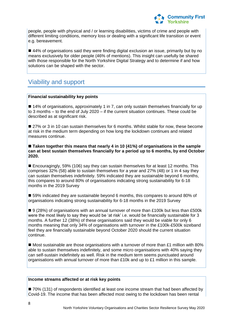

people, people with physical and / or learning disabilities, victims of crime and people with different limiting conditions, memory loss or dealing with a significant life transition or event e.g. bereavement.

■ 44% of organisations said they were finding digital exclusion an issue, primarily but by no means exclusively for older people (46% of mentions). This insight can usefully be shared with those responsible for the North Yorkshire Digital Strategy and to determine if and how solutions can be shaped with the sector.

## Viability and support

#### **Financial sustainability key points**

■ 14% of organisations, approximately 1 in 7, can only sustain themselves financially for up to 3 months – to the end of July 2020 – if the current situation continues. These could be described as at significant risk.

■ 27% or 3 in 10 can sustain themselves for 6 months. Whilst stable for now, these become at risk in the medium term depending on how long the lockdown continues and related measures continue.

#### ■ Taken together this means that nearly 4 in 10 (41%) of organisations in the sample **can at best sustain themselves financially for a period up to 6 months, by end October 2020.**

■ Encouragingly, 59% (106) say they can sustain themselves for at least 12 months. This comprises 32% (58) able to sustain themselves for a year and 27% (48) or 1 in 4 say they can sustain themselves indefinitely. 59% indicated they are sustainable beyond 6 months, this compares to around 80% of organisations indicating strong sustainability for 6-18 months in the 2019 Survey

■ 59% indicated they are sustainable beyond 6 months, this compares to around 80% of organisations indicating strong sustainability for 6-18 months in the 2019 Survey

 9 (28%) of organisations with an annual turnover of more than £100k but less than £500k were the most likely to say they would be 'at risk' i.e. would be financially sustainable for 3 months. A further 12 (38%) of these organisations said they would be viable for only 6 months meaning that only 34% of organisations with turnover in the £100k-£500k sizeband feel they are financially sustainable beyond October 2020 should the current situation continue.

 $\blacksquare$  Most sustainable are those organisations with a turnover of more than £1 million with 80% able to sustain themselves indefinitely, and some micro organisations with 40% saying they can self-sustain indefinitely as well. Risk in the medium term seems punctuated around organisations with annual turnover of more than £10k and up to £1 million in this sample.

#### **Income streams affected or at risk key points**

■ 70% (131) of respondents identified at least one income stream that had been affected by Covid-19. The income that has been affected most owing to the lockdown has been rental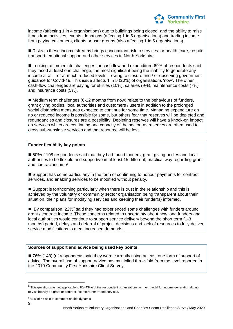

income (affecting 1 in 4 organisations) due to buildings being closed; and the ability to raise funds from activities, events, donations (affecting 1 in 5 organisations) and trading income from paying customers, clients or user groups (also affecting 1 in 5 organisations).

**Risks to these income streams brings concomitant risk to services for health, care, respite,** transport, emotional support and other services in North Yorkshire.

■ Looking at immediate challenges for cash flow and expenditure 69% of respondents said they faced at least one challenge, the most significant being the inability to generate any income at all – or at much reduced levels – owing to closure and / or observing government guidance for Covid-19. This issue affects 1 in 5 (20%) of organisations 'now'. The other cash-flow challenges are paying for utilities (10%), salaries (9%), maintenance costs (7%) and insurance costs (5%).

 $\blacksquare$  Medium term challenges (6-12 months from now) relate to the behaviours of funders, grant giving bodies, local authorities and customers / users in addition to the prolonged social distancing measures expected to continue for some time. Managing expenditure on no or reduced income is possible for some, but others fear that reserves will be depleted and redundancies and closures are a possibility. Depleting reserves will have a knock-on impact on services which are continuing and capacity of the sector, as reserves are often used to cross sub-subsidise services and that resource will be lost.

#### **Funder flexibility key points**

■ 50% of 108 respondents said that they had found funders, grant giving bodies and local authorities to be flexible and supportive in at least 15 different, practical way regarding grant and contract income<sup>6</sup>.

■ Support has come particularly in the form of continuing to honour payments for contract services, and enabling services to be modified without penalty.

■ Support is forthcoming particularly when there is trust in the relationship and this is achieved by the voluntary or community sector organisation being transparent about their situation, their plans for modifying services and keeping their funder(s) informed.

 $\blacksquare$  Bv comparison, 22%<sup>7</sup> said they had experienced some challenges with funders around grant / contract income. These concerns related to uncertainty about how long funders and local authorities would continue to support service delivery beyond the short term (1-3 months) period, delays and deferral of project decisions and lack of resources to fully deliver service modifications to meet increased demands.

#### **Sources of support and advice being used key points**

■ 76% (143) (of respondents said they were currently using at least one form of support of advice. The overall use of support advice has multiplied three-fold from the level reported in the 2019 Community First Yorkshire Client Survey.

**.** 

 $6$  This question was not applicable to 80 (43%) of the respondent organisations as their model for income generation did not rely as heavily on grant or contract income rather traded services.

<sup>&</sup>lt;sup>7</sup> 43% of 55 able to comment on this dynamic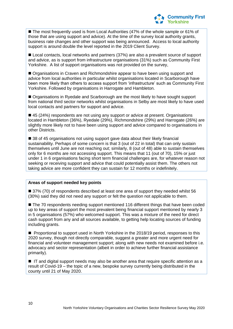

■ The most frequently used is from Local Authorities (47% of the whole sample or 61% of those that are using support and advice). At the time of the survey local authority grants, business rate changes and other support was being announced. Access to local authority support is around double the level reported in the 2019 Client Survey.

■ Local contacts, local networks and partners (37%) are also a prevalent source of support and advice, as is support from infrastructure organisations (31%) such as Community First Yorkshire. A list of support organisations was not provided on the survey,

 Organisations in Craven and Richmondshire appear to have been using support and advice from local authorities in particular whilst organisations located in Scarborough have been more likely than others to access support from 'infrastructure' such as Community First Yorkshire. Followed by organisations in Harrogate and Hambleton.

■ Organisations in Ryedale and Scarborough are the most likely to have sought support from national third sector networks whilst organisations in Selby are most likely to have used local contacts and partners for support and advice.

■ 45 (24%) respondents are not using any support or advice at present. Organisations located in Hambleton (36%), Ryedale (29%), Richmondshire (29%) and Harrogate (26%) are slightly more likely not to have been using support and advice compared to organisations in other Districts.

■ 38 of 45 organisations not using support gave data about their likely financial sustainability. Perhaps of some concern is that 3 (out of 22 in total) that can only sustain themselves until June are not reaching out; similarly, 8 (out of 48) able to sustain themselves only for 6 months are not accessing support. This means that 11 (out of 70), 15% or just under 1 in 6 organisations facing short term financial challenges are, for whatever reason not seeking or receiving support and advice that could potentially assist them. The others not taking advice are more confident they can sustain for 12 months or indefinitely.

#### **Areas of support needed key points**

■ 37% (70) of respondents described at least one area of support they needed whilst 56 (30%) said they did not need any support or felt the question not applicable to them.

■ The 70 respondents needing support mentioned 116 different things that have been coded up to key areas of support the most prevalent being financial support mentioned by nearly 3 in 5 organisations (57%) who welcomed support. This was a mixture of the need for direct cash support from any and all sources available, to getting help locating sources of funding including grants.

**Proportional to support used in North Yorkshire in the 2018/19 period, responses to this** 2020 survey, though not directly comparable, suggest a greater and more urgent need for financial and volunteer management support; along with new needs not examined before i.e. advocacy and sector representation (albeit in order to achieve further financial assistance primarily).

■ IT and digital support needs may also be another area that require specific attention as a result of Covid-19 – the topic of a new, bespoke survey currently being distributed in the county until 21 of May 2020.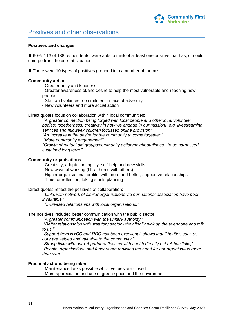

# Positives and other observations

#### **Positives and changes**

■ 60%, 113 of 188 respondents, were able to think of at least one positive that has, or could emerge from the current situation.

There were 10 types of positives grouped into a number of themes:

#### **Community action**

- Greater unity and kindness
- Greater awareness of/and desire to help the most vulnerable and reaching new people
- Staff and volunteer commitment in face of adversity
- New volunteers and more social action

Direct quotes focus on collaboration within local communities:

 *"A greater connection being forged with local people and other local volunteer bodies: togetherness! creativity in how we engage in our mission! e.g. livestreaming services and midweek children focussed online provision" "An Increase in the desire for the community to come together." "More community engagement" "Growth of mutual aid groups/community action/neighbourliness - to be harnessed, sustained long term."*

#### **Community organisations**

- Creativity, adaptation, agility, self-help and new skills

- New ways of working (IT, at home with others)
- Higher organisational profile; with more and better, supportive relationships
- Time for reflection, taking stock, planning

Direct quotes reflect the positives of collaboration:

 *"Links with network of similar organisations via our national association have been invaluable."*

 *"Increased relationships with local organisations."*

The positives included better communication with the public sector:

 *"A greater communication with the unitary authority."*

 *"Better relationships with statutory sector - they finally pick up the telephone and talk to us."*

 *"Support from NYCC and RDC has been excellent it shows that Charities such as ours are valued and valuable to the community."*

 *"Strong links with our LA partners (less so with health directly but LA has links)" "People, organisations and funders are realising the need for our organisation more than ever."*

#### **Practical actions being taken**

- Maintenance tasks possible whilst venues are closed

- More appreciation and use of green space and the environment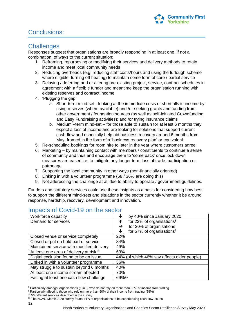

# Conclusions:

## **Challenges**

Responses suggest that organisations are broadly responding in at least one, if not a combination, of ways to the current situation:

- 1. Reframing, repurposing or modifying their services and delivery methods to retain income and meet local community needs
- 2. Reducing overheads (e.g. reducing staff costs/hours and using the furlough scheme where eligible; turning off heating) to maintain some form of core / partial service
- 3. Delaying / deferring and or altering pre-existing project, service, contract schedules in agreement with a flexible funder and meantime keep the organisation running with existing reserves and contract income
- 4. 'Plugging the gap'
	- a. Short-term mind-set looking at the immediate crisis of shortfalls in income by using reserves (where available) and /or seeking grants and funding from other government / foundation sources (as well as self-initiated Crowdfunding and Easy Fundraising activities); and /or trying insurance claims
	- b. Medium –term mind-set for those able to sustain for at least 6 months they expect a loss of income and are looking for solutions that support current cash-flow and especially help aid business recovery around 6 months from May; framed in the form of a 'business recovery plan' or equivalent
- 5. Re-scheduling bookings for room hire to later in the year where customers agree
- 6. Marketing by maintaining contact with members / constituents to continue a sense of community and thus and encourage them to 'come back' once lock down measures are eased i.e. to mitigate any longer term loss of trade, participation or patronage
- 7. Supporting the local community in other ways (non-financially oriented)
- 8. Linking in with a volunteer programme (68 / 36% are doing this)
- 9. Not addressing the challenge at all due to ability to operate / government guidelines.

Funders and statutory services could use these insights as a basis for considering how best to support the different mind-sets and situations in the sector currently whether it be around response, hardship, recovery, development and innovation.

| Workforce capacity                                  | by 40% since January 2020<br>◡              |
|-----------------------------------------------------|---------------------------------------------|
| Demand for services                                 | for 22% of organisations <sup>8</sup><br>↑  |
|                                                     | for 20% of organisations<br>→               |
|                                                     | for 57% of organisations <sup>9</sup><br>◡  |
| Closed venue or service completely                  | 22%                                         |
| Closed or put on hold part of service               | 84%                                         |
| Maintained service with modified delivery           | 49%                                         |
| At least one area of delivery at risk <sup>10</sup> | 63%                                         |
| Digital exclusion found to be an issue              | 44% (of which 46% say affects older people) |
| Linked in with a volunteer programme                | 36%                                         |
| May struggle to sustain beyond 6 months             | 40%                                         |
| At least one income stream affected                 | 70%                                         |
| Facing at least one cash flow challenge             | 69%11                                       |
|                                                     |                                             |

# Impacts of Covid-19 on the sector

9 Particularly affecting those who rely on more than 50% of their income from trading (85%)

12

**.** 

<sup>&</sup>lt;sup>8</sup> Particularly amongst organisations (1 in 3) who do not rely on more than 50% of income from trading

<sup>&</sup>lt;sup>10</sup> 56 different services described in the survey

<sup>11</sup> The NCVO March 2020 survey found 44% of organisations to be experiencing cash flow issues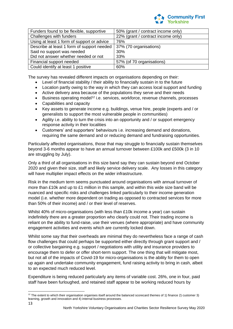

| Funders found to be flexible, supportive   | 50% (grant / contract income only) |
|--------------------------------------------|------------------------------------|
| Challenges with funders                    | 22% (grant / contract income only) |
| Using at least 1 form of support or advice | 76%                                |
| Describe at least 1 form of support needed | 37% (70 organisations)             |
| Said no support was needed                 | 30%                                |
| Did not answer whether needed or not       | 33%                                |
| Financial support needed                   | 57% (of 70 organisations)          |
| Could identify at least 1 positive         | 60%                                |

The survey has revealed different impacts on organisations depending on their:

- Level of financial stability / their ability to financially sustain in to the future
- Location partly owing to the way in which they can access local support and funding
- Active delivery area because of the populations they serve and their needs
- Business operating model<sup>12</sup> i.e. services, workforce, revenue channels, processes
- Capabilities and capacity
- Key assets to generate income e.g. buildings, venue hire, people (experts and / or generalists to support the most vulnerable people in communities)
- Agility i.e. ability to turn the crisis into an opportunity and / or support emergency response activity in their localities
- Customers' and supporters' behaviours i.e. increasing demand and donations, requiring the same demand and or reducing demand and fundraising opportunities.

Particularly affected organisations, those that may struggle to financially sustain themselves beyond 3-6 months appear to have an annual turnover between £100k and £500k (3 in 10 are struggling by July).

Only a third of all organisations in this size band say they can sustain beyond end October 2020 and given their size, staff and likely service delivery scale. Any losses in this category will have multiplier impact effects on the wider infrastructure.

Risk in the medium term seems punctuated around organisations with annual turnover of more than £10k and up to £1 million in this sample, and within this wide size band will be nuanced and specific risks and challenges linked particularly to their income generation model (i.e. whether more dependent on trading as opposed to contracted services for more than 50% of their income) and / or their level of reserves.

Whilst 40% of micro-organisations (with less than £10k income a year) can sustain indefinitely there are a greater proportion who clearly could not. Their trading income is reliant on the ability to fund-raise, use their venues (where appropriate) and have community engagement activities and events which are currently locked down.

Whilst some say that their overheads are minimal they do nevertheless face a range of cash flow challenges that could perhaps be supported either directly through grant support and / or collective bargaining e.g. support / negotiations with utility and insurance providers to encourage them to defer or offer short-term support. The one thing that will mitigate most, but not all of the impacts of Covid-19 for micro-organisations is the ability for them to open up again and undertake community engagement, fund raising activity to bring in cash, albeit to an expected much reduced level.

Expenditure is being reduced particularly any items of variable cost. 26%, one in four, paid staff have been furloughed, and retained staff appear to be working reduced hours by

**.** 

 $12$  The extent to which their organisation organises itself around the balanced scorecard themes of 1) finance 2) customer 3) learning, growth and innovation and 4) internal business processes.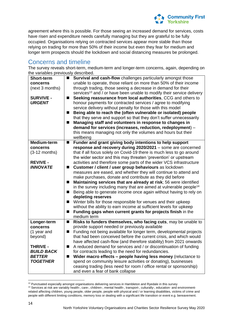

agreement where this is possible. For those seeing an increased demand for services, costs have risen and expenditure needs carefully managing but they are grateful to be fully occupied. Organisations relying on contracted services appear more stable than those relying on trading for more than 50% of their income but even they fear for medium and longer term prospects should the lockdown and social distancing measures be prolonged.

### Concerns and timeline

The survey reveals short-term, medium-term and longer-term concerns, again, depending on the variables previously described.

| <b>Short-term</b><br>concerns<br>(next 3 months)<br><b>SURVIVE -</b><br><b>URGENT</b>                                         | ■ Survival and cash-flow challenges particularly amongst those<br>unable to operate, those reliant on more than 50% of their income<br>through trading, those seeing a decrease in demand for their<br>services <sup>13</sup> and / or have been unable to modify their service delivery<br>Seeking reassurance from local authorities, CCG and others to<br>$\blacksquare$<br>honour payments for contracted services / agree to modifying<br>service delivery without penalty for those with this model<br>Being able to reach the (often vulnerable or isolated) people<br>ш<br>that they serve and support so that they don't suffer unnecessarily<br>Managing staff and volunteers in response to changes in<br>П<br>demand for services (increases, reduction, redeployment) -<br>this means managing not only the volumes and hours but their<br>wellbeing                                                                                                                                                                                                                         |
|-------------------------------------------------------------------------------------------------------------------------------|-------------------------------------------------------------------------------------------------------------------------------------------------------------------------------------------------------------------------------------------------------------------------------------------------------------------------------------------------------------------------------------------------------------------------------------------------------------------------------------------------------------------------------------------------------------------------------------------------------------------------------------------------------------------------------------------------------------------------------------------------------------------------------------------------------------------------------------------------------------------------------------------------------------------------------------------------------------------------------------------------------------------------------------------------------------------------------------------|
| Medium-term<br>concerns<br>$(3-12$ months)<br><b>REVIVE -</b><br><b>INNOVATE</b>                                              | Funder and grant giving body intentions to help support<br>$\blacksquare$<br>response and recovery during 2020/2021 - some are concerned<br>that if all focus solely on Covid-19 there is much less to go around<br>the wider sector and this may threaten 'prevention' or upstream<br>activities and therefore some parts of the wider VCS infrastructure<br>Customer / client / user group behaviours as lockdown<br>$\overline{\phantom{a}}$<br>measures are eased, and whether they will continue to attend and<br>make purchases, donate and contribute as they did before<br>Maintaining services that are already at risk; 56 were identified<br>$\blacksquare$<br>in the survey including many that are aimed at vulnerable people <sup>14</sup><br>Being able to generate income once again without having to rely on<br>■<br>depleting reserves<br>Winter bills for those responsible for venues and their upkeep<br>ш<br>without the ability to earn income at sufficient levels for upkeep<br>Funding gaps when current grants for projects finish in the<br>■<br>medium term |
| Longer-term<br>concerns<br>(1 year and<br>beyond)<br><b>THRIVE -</b><br><b>BUILD BACK</b><br><b>BETTER</b><br><b>TOGETHER</b> | Risks to funders themselves, who facing cuts, may be unable to<br>$\blacksquare$<br>provide support needed or previously available<br>Funding not being available for longer term, developmental projects<br>$\overline{\phantom{a}}$<br>that had been conceived before the current crisis, and which would<br>have affected cash-flow (and therefore stability) from 2021 onwards<br>A reduced demand for services and / or discontinuation of funding<br>$\blacksquare$<br>for contracts leading to the need for redundancies.<br>Wider macro effects - people having less money (reluctance to<br>spend on community leisure activities or donating), businesses<br>ceasing trading (less need for room / office rental or sponsorship)<br>and even a fear of bank collapse                                                                                                                                                                                                                                                                                                            |

**<sup>.</sup>** <sup>13</sup> Punctuated especially amongst organisations delivering services in Hambleton and Ryedale in this survey

<sup>14</sup> Services at risk are variably health-, care-, children-, mental health-, transport-, culturally-, education- and environmentrelated affecting children, young people, older people, people with physical and / or learning disabilities, victims of crime and people with different limiting conditions, memory loss or dealing with a significant life transition or event e.g. bereavement.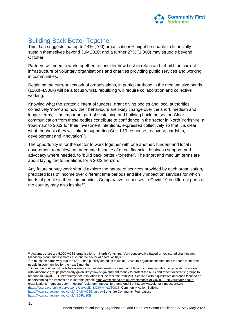

# Building Back Better Together

This data suggests that up to 14% (700) organisations<sup>15</sup> might be unable to financially sustain themselves beyond July 2020; and a further 27% (1,300) may struggle beyond October.

Partners will need to work together to consider how best to retain and rebuild the current infrastructure of voluntary organisations and charities providing public services and working in communities.

Retaining the current network of organisations, in particular those in the medium size bands (£100k-£500k) will be a focus whilst, rebuilding will require collaboration and collective working.

Knowing what the strategic intent of funders, grant giving bodies and local authorities collectively 'now' and how their behaviours are likely change over the short, medium and longer terms, is an important part of sustaining and building back the sector. Clear communication from these bodies contribute to confidence in the sector in North Yorkshire, a 'roadmap' to 2022 for their investment intentions, expressed collectively so that it is clear what emphasis they will take to supporting Covid-19 response, recovery, hardship, development and innovation<sup>16</sup>.

The opportunity is for the sector to work together with one another, funders and local / government to achieve an adequate balance of direct financial, business support, and advocacy where needed, to 'build back better - together'**.** The short and medium terms are about laying the foundations for a 2022 horizon.

Any future survey work should explore the nature of services provided by each organisation, predicted loss of income over different time periods and likely impact on services for which kinds of people in their communities. Comparative responses to Covid-19 in different parts of the country may also inspire<sup>17</sup>.

 $17$  Community Action Norfolk has a survey with useful questions aimed at obtaining information about organisations working with vulnerable groups particularly given likely flow of government money to protect the NHS and reach vulnerable groups to respond to Covid-19. Other surveys for inspiration include this one from VHS Scotland with a qualitative approach focused on understanding the impacts on vulnerable peopl[e https://vhscotland.org.uk/event/impact-of-Covid-19-on-voluntary-health](https://vhscotland.org.uk/event/impact-of-covid-19-on-voluntary-health-organisations-members-zoom-meeting/)[organisations-members-zoom-meeting/.](https://vhscotland.org.uk/event/impact-of-covid-19-on-voluntary-health-organisations-members-zoom-meeting/) Voluntary Impact Northamptonshire:<http://www.voluntaryimpact.org.uk/> [\(https://esurv.org/online-survey.php?surveyID=MCIMNI\\_e2f30813.](https://esurv.org/online-survey.php?surveyID=MCIMNI_e2f30813) Community Action Suffolk: <https://www.surveymonkey.co.uk/r/CAS-VCSE-survey> Berkshire Community Foundation:

<https://www.surveymonkey.co.uk/r/BQFLNKB>

<sup>1</sup> <sup>15</sup> Assumes there are 5,000 VCSE organisations in North Yorkshire. Very conservative based on registered charities not friendship group and estimates also put the sector at a total of 10,000.

<sup>&</sup>lt;sup>16</sup> in much the same way that the NCLF has publicly stated its focus on Covid-19 organisations best able to reach vulnerable people in communities for the next 6 months